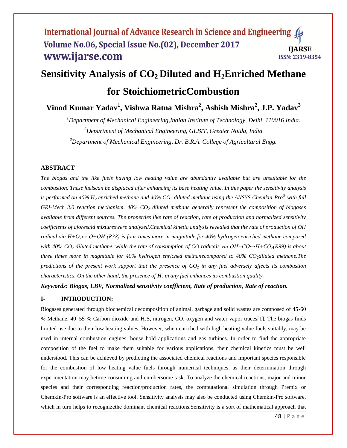# **Sensitivity Analysis of CO<sup>2</sup> Diluted and H2Enriched Methane**

# **for StoichiometricCombustion**

**Vinod Kumar Yadav<sup>1</sup> , Vishwa Ratna Mishra<sup>2</sup> , Ashish Mishra<sup>2</sup> , J.P. Yadav<sup>3</sup>**

*<sup>1</sup>Department of Mechanical Engineering,Indian Institute of Technology, Delhi, 110016 India. <sup>2</sup>Department of Mechanical Engineering, GLBIT, Greater Noida, India <sup>3</sup>Department of Mechanical Engineering, Dr. B.R.A. College of Agricultural Engg.*

# **ABSTRACT**

*The biogas and the like fuels having low heating value are abundantly available but are unsuitable for the combustion. These fuelscan be displaced after enhancing its base heating value. In this paper the sensitivity analysis is performed on 40% H<sup>2</sup> enriched methane and 40% CO<sup>2</sup> diluted methane using the ANSYS Chemkin-Pro® with full GRI-Mech 3.0 reaction mechanism. 40% CO<sup>2</sup> diluted methane generally represent the composition of biogases available from different sources. The properties like rate of reaction, rate of production and normalized sensitivity coefficients of aforesaid mixtureswere analyzed.Chemical kinetic analysis revealed that the rate of production of OH radical via H+O2↔ O+OH (R38) is four times more in magnitude for 40% hydrogen enriched methane compared with 40% CO<sup>2</sup> diluted methane, while the rate of consumption of CO radicals via OH+CO↔H+CO2(R99) is about three times more in magnitude for 40% hydrogen enriched methanecompared to 40% CO2diluted methane.The predictions of the present work support that the presence of CO<sup>2</sup> in any fuel adversely affects its combustion characteristics. On the other hand, the presence of H<sup>2</sup> in any fuel enhances its combustion quality.* 

*Keywords: Biogas, LBV, Normalized sensitivity coefficient, Rate of production, Rate of reaction.*

# **I- INTRODUCTION:**

Biogases generated through biochemical decomposition of animal, garbage and solid wastes are composed of 45-60 % Methane, 40–55 % Carbon dioxide and H2S, nitrogen, CO, oxygen and water vapor traces[1]. The biogas finds limited use due to their low heating values. However, when enriched with high heating value fuels suitably, may be used in internal combustion engines, house hold applications and gas turbines. In order to find the appropriate composition of the fuel to make them suitable for various applications, their chemical kinetics must be well understood. This can be achieved by predicting the associated chemical reactions and important species responsible for the combustion of low heating value fuels through numerical techniques, as their determination through experimentation may betime consuming and cumbersome task. To analyze the chemical reactions, major and minor species and their corresponding reaction/production rates, the computational simulation through Premix or Chemkin-Pro software is an effective tool. Sensitivity analysis may also be conducted using Chemkin-Pro software, which in turn helps to recognizethe dominant chemical reactions.Sensitivity is a sort of mathematical approach that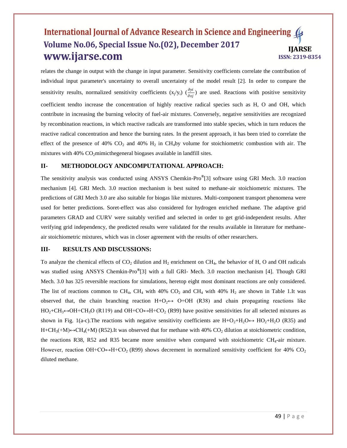relates the change in output with the change in input parameter. Sensitivity coefficients correlate the contribution of individual input parameter's uncertainty to overall uncertainty of the model result [2]. In order to compare the sensitivity results, normalized sensitivity coefficients  $(x_j/y_i)$   $(\frac{\partial y_i}{\partial x_j})$  are used. Reactions with positive sensitivity coefficient tendto increase the concentration of highly reactive radical species such as H, O and OH, which contribute in increasing the burning velocity of fuel-air mixtures. Conversely, negative sensitivities are recognized by recombination reactions, in which reactive radicals are transformed into stable species, which in turn reduces the reactive radical concentration and hence the burning rates. In the present approach, it has been tried to correlate the effect of the presence of 40%  $CO_2$  and 40%  $H_2$  in CH<sub>4</sub>by volume for stoichiometric combustion with air. The mixtures with  $40\%$  CO<sub>2</sub>mimicthegeneral biogases available in landfill sites.

#### **II- METHODOLOGY ANDCOMPUTATIONAL APPROACH:**

The sensitivity analysis was conducted using ANSYS Chemkin-Pro**®** [3] software using GRI Mech. 3.0 reaction mechanism [4]. GRI Mech. 3.0 reaction mechanism is best suited to methane-air stoichiometric mixtures. The predictions of GRI Mech 3.0 are also suitable for biogas like mixtures. Multi-component transport phenomena were used for better predictions. Soret-effect was also considered for hydrogen enriched methane. The adaptive grid parameters GRAD and CURV were suitably verified and selected in order to get grid-independent results. After verifying grid independency, the predicted results were validated for the results available in literature for methaneair stoichiometric mixtures, which was in closer agreement with the results of other researchers.

#### **III- RESULTS AND DISCUSSIONS:**

To analyze the chemical effects of  $CO<sub>2</sub>$  dilution and  $H<sub>2</sub>$  enrichment on CH<sub>4</sub>, the behavior of H, O and OH radicals was studied using ANSYS Chemkin-Pro**®** [3] with a full GRI- Mech. 3.0 reaction mechanism [4]. Though GRI Mech. 3.0 has 325 reversible reactions for simulations, heretop eight most dominant reactions are only considered. The list of reactions common to CH<sub>4</sub>, CH<sub>4</sub> with 40% CO<sub>2</sub> and CH<sub>4</sub> with 40% H<sub>2</sub> are shown in Table 1.It was observed that, the chain branching reaction  $H+O_2 \leftrightarrow O+OH$  (R38) and chain propagating reactions like  $HO_2+CH_3 \leftrightarrow OH+CH_3O$  (R119) and OH+CO $\leftrightarrow$ H+CO<sub>2</sub> (R99) have positive sensitivities for all selected mixtures as shown in Fig. 1(a-c). The reactions with negative sensitivity coefficients are  $H+O_2+H_2O \rightarrow HO_2+H_2O$  (R35) and  $H + CH<sub>3</sub>(+M) \leftrightarrow CH<sub>4</sub>(+M)$  (R52).It was observed that for methane with 40% CO<sub>2</sub> dilution at stoichiometric condition, the reactions R38, R52 and R35 became more sensitive when compared with stoichiometric  $CH<sub>4</sub>$ -air mixture. However, reaction OH+CO $\leftrightarrow$ H+CO<sub>2</sub> (R99) shows decrement in normalized sensitivity coefficient for 40% CO<sub>2</sub> diluted methane.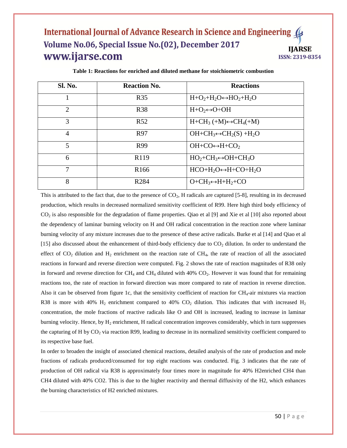| <b>Sl. No.</b> | <b>Reaction No.</b> | <b>Reactions</b>                           |
|----------------|---------------------|--------------------------------------------|
|                | <b>R35</b>          | $H + O2+H2O \leftrightarrow HO2+H2O$       |
| $\overline{2}$ | <b>R38</b>          | $H+O_2 \leftrightarrow O+OH$               |
| 3              | R <sub>52</sub>     | $H + CH_3 (+M) \leftrightarrow CH_4 (+M)$  |
| $\overline{4}$ | R97                 | $OH + CH_3 \leftrightarrow CH_2(S) + H_2O$ |
| 5              | R99                 | $OH + CO \leftrightarrow H + CO$           |
| 6              | R <sub>119</sub>    | $HO_2 + CH_3 \leftrightarrow OH + CH_3O$   |
| 7              | R <sub>166</sub>    | $HCO+H2O \leftrightarrow H+CO+H2O$         |
| 8              | R <sub>284</sub>    | $O + CH_3 \leftrightarrow H + H_2 + CO$    |

**Table 1: Reactions for enriched and diluted methane for stoichiometric combustion**

This is attributed to the fact that, due to the presence of  $CO<sub>2</sub>$ , H radicals are captured [5-8], resulting in its decreased production, which results in decreased normalized sensitivity coefficient of R99. Here high third body efficiency of  $CO<sub>2</sub>$  is also responsible for the degradation of flame properties. Qiao et al [9] and Xie et al [10] also reported about the dependency of laminar burning velocity on H and OH radical concentration in the reaction zone where laminar burning velocity of any mixture increases due to the presence of these active radicals. Burke et al [14] and Qiao et al [15] also discussed about the enhancement of third-body efficiency due to  $CO<sub>2</sub>$  dilution. In order to understand the effect of  $CO_2$  dilution and  $H_2$  enrichment on the reaction rate of CH<sub>4</sub>, the rate of reaction of all the associated reactions in forward and reverse direction were computed. Fig. 2 shows the rate of reaction magnitudes of R38 only in forward and reverse direction for  $CH_4$  and  $CH_4$  diluted with 40%  $CO_2$ . However it was found that for remaining reactions too, the rate of reaction in forward direction was more compared to rate of reaction in reverse direction. Also it can be observed from figure 1c, that the sensitivity coefficient of reaction for  $CH<sub>4</sub>$ -air mixtures via reaction R38 is more with 40%  $H_2$  enrichment compared to 40% CO<sub>2</sub> dilution. This indicates that with increased  $H_2$ concentration, the mole fractions of reactive radicals like O and OH is increased, leading to increase in laminar burning velocity. Hence, by  $H_2$  enrichment, H radical concentration improves considerably, which in turn suppresses the capturing of H by CO<sub>2</sub> via reaction R99, leading to decrease in its normalized sensitivity coefficient compared to its respective base fuel.

In order to broaden the insight of associated chemical reactions, detailed analysis of the rate of production and mole fractions of radicals produced/consumed for top eight reactions was conducted. Fig. 3 indicates that the rate of production of OH radical via R38 is approximately four times more in magnitude for 40% H2enriched CH4 than CH4 diluted with 40% CO2. This is due to the higher reactivity and thermal diffusivity of the H2, which enhances the burning characteristics of H2 enriched mixtures.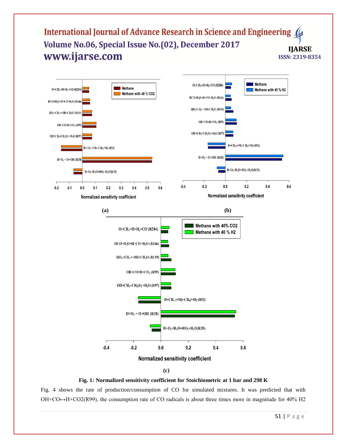



Fig. 4 shows the rate of production/consumption of CO for simulated mixtures. It was predicted that with  $OH + CO \rightarrow H + CO2(R99)$ , the consumption rate of CO radicals is about three times more in magnitude for 40% H2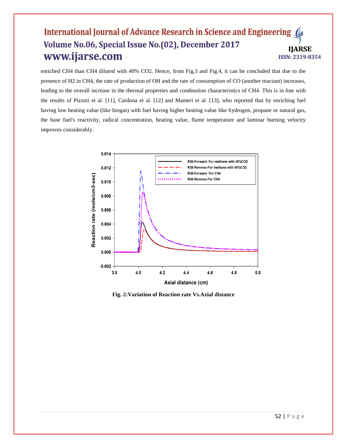enriched CH4 than CH4 diluted with 40% CO2. Hence, from Fig.3 and Fig.4, it can be concluded that due to the presence of H2 in CH4, the rate of production of OH and the rate of consumption of CO (another reactant) increases, leading to the overall increase in the thermal properties and combustion characteristics of CH4. This is in line with the results of Pizzuti et al. [11], Cardona et al. [12] and Mameri et al. [13], who reported that by enriching fuel having low heating value (like biogas) with fuel having higher heating value like hydrogen, propane or natural gas, the base fuel's reactivity, radical concentration, heating value, flame temperature and laminar burning velocity improves considerably.



**Fig. 2:Variation of Reaction rate Vs.Axial distance**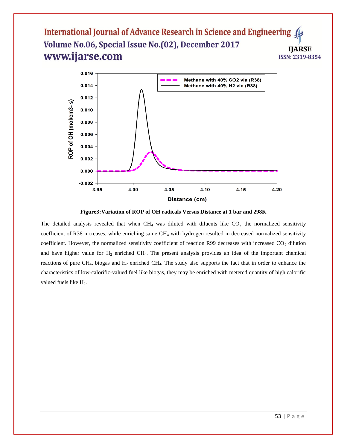

**Figure3:Variation of ROP of OH radicals Versus Distance at 1 bar and 298K**

The detailed analysis revealed that when  $CH_4$  was diluted with diluents like  $CO_2$  the normalized sensitivity coefficient of R38 increases, while enriching same  $CH_4$  with hydrogen resulted in decreased normalized sensitivity coefficient. However, the normalized sensitivity coefficient of reaction R99 decreases with increased  $CO<sub>2</sub>$  dilution and have higher value for  $H_2$  enriched CH<sub>4</sub>. The present analysis provides an idea of the important chemical reactions of pure CH<sub>4</sub>, biogas and  $H_2$  enriched CH<sub>4</sub>. The study also supports the fact that in order to enhance the characteristics of low-calorific-valued fuel like biogas, they may be enriched with metered quantity of high calorific valued fuels like H<sub>2</sub>.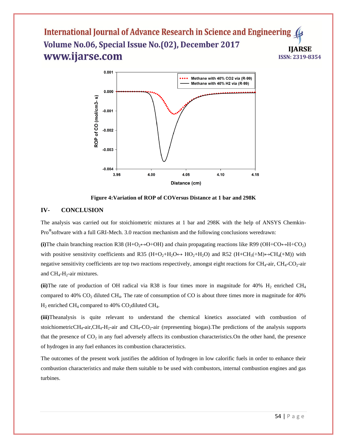

**Figure 4:Variation of ROP of COVersus Distance at 1 bar and 298K**

#### **IV- CONCLUSION**

The analysis was carried out for stoichiometric mixtures at 1 bar and 298K with the help of ANSYS Chemkin-Pro**®** software with a full GRI-Mech. 3.0 reaction mechanism and the following conclusions weredrawn:

(i)The chain branching reaction R38 (H+O<sub>2</sub>↔O+OH) and chain propagating reactions like R99 (OH+CO↔H+CO<sub>2</sub>) with positive sensitivity coefficients and R35 (H+O<sub>2</sub>+H<sub>2</sub>O  $\leftrightarrow$  HO<sub>2</sub>+H<sub>2</sub>O) and R52 (H+CH<sub>3</sub>(+M) $\leftrightarrow$ CH<sub>4</sub>(+M)) with negative sensitivity coefficients are top two reactions respectively, amongst eight reactions for  $CH_4$ -air,  $CH_4$ - $CO_2$ -air and  $CH_4$ -H<sub>2</sub>-air mixtures.

(ii) The rate of production of OH radical via R38 is four times more in magnitude for  $40\%$  H<sub>2</sub> enriched CH<sub>4</sub> compared to  $40\%$  CO<sub>2</sub> diluted CH<sub>4</sub>. The rate of consumption of CO is about three times more in magnitude for  $40\%$  $H_2$  enriched CH<sub>4</sub> compared to 40% CO<sub>2</sub>diluted CH<sub>4</sub>.

**(iii)**Theanalysis is quite relevant to understand the chemical kinetics associated with combustion of stoichiometricCH<sub>4</sub>-air,CH<sub>4</sub>-H<sub>2</sub>-air and CH<sub>4</sub>-CO<sub>2</sub>-air (representing biogas). The predictions of the analysis supports that the presence of  $CO<sub>2</sub>$  in any fuel adversely affects its combustion characteristics. On the other hand, the presence of hydrogen in any fuel enhances its combustion characteristics.

The outcomes of the present work justifies the addition of hydrogen in low calorific fuels in order to enhance their combustion characteristics and make them suitable to be used with combustors, internal combustion engines and gas turbines.